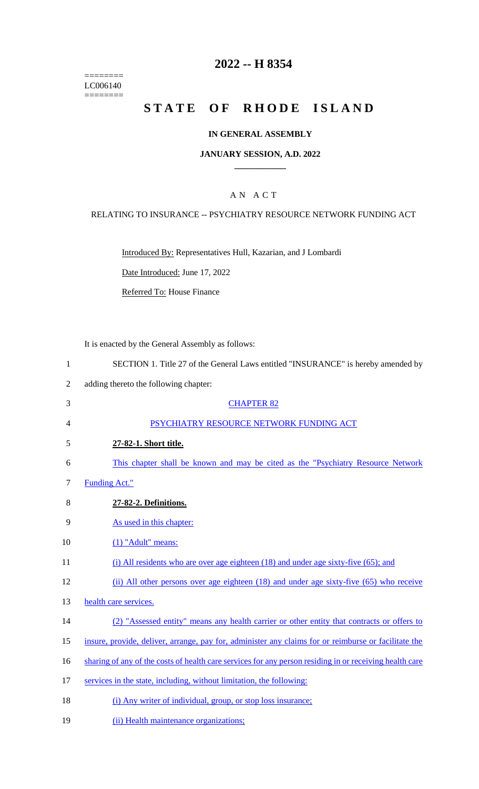======== LC006140 ========

## **2022 -- H 8354**

# **STATE OF RHODE ISLAND**

### **IN GENERAL ASSEMBLY**

### **JANUARY SESSION, A.D. 2022 \_\_\_\_\_\_\_\_\_\_\_\_**

### A N A C T

### RELATING TO INSURANCE -- PSYCHIATRY RESOURCE NETWORK FUNDING ACT

Introduced By: Representatives Hull, Kazarian, and J Lombardi

Date Introduced: June 17, 2022

Referred To: House Finance

It is enacted by the General Assembly as follows:

- 1 SECTION 1. Title 27 of the General Laws entitled "INSURANCE" is hereby amended by
- 2 adding thereto the following chapter:
- 3 CHAPTER 82 4 PSYCHIATRY RESOURCE NETWORK FUNDING ACT 5 **27-82-1. Short title.**  6 This chapter shall be known and may be cited as the "Psychiatry Resource Network 7 Funding Act." 8 **27-82-2. Definitions.**  9 As used in this chapter: 10 (1) "Adult" means: 11 (i) All residents who are over age eighteen (18) and under age sixty-five (65); and 12 (ii) All other persons over age eighteen (18) and under age sixty-five (65) who receive 13 health care services. 14 (2) "Assessed entity" means any health carrier or other entity that contracts or offers to
- 15 insure, provide, deliver, arrange, pay for, administer any claims for or reimburse or facilitate the
- 16 sharting of any of the costs of health care services for any person residing in or receiving health care
- 17 services in the state, including, without limitation, the following:
- 18 (i) Any writer of individual, group, or stop loss insurance;
- 19 (ii) Health maintenance organizations;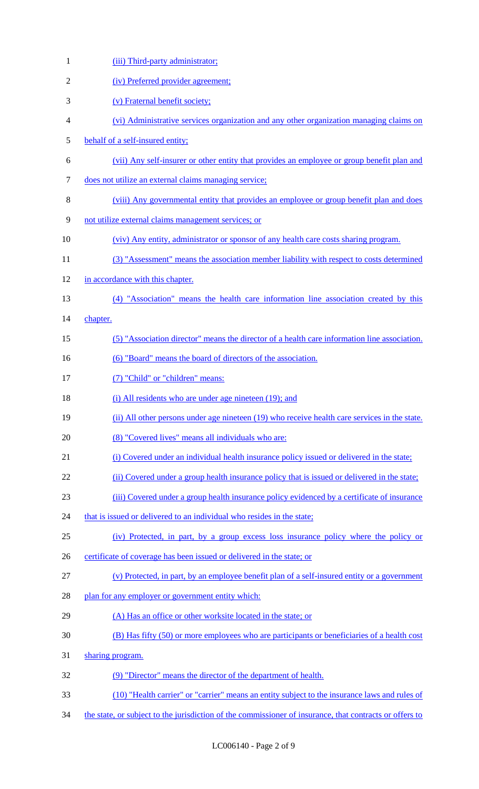| $\mathbf{1}$   | (iii) Third-party administrator;                                                                        |
|----------------|---------------------------------------------------------------------------------------------------------|
| $\overline{2}$ | (iv) Preferred provider agreement;                                                                      |
| 3              | (v) Fraternal benefit society;                                                                          |
| 4              | (vi) Administrative services organization and any other organization managing claims on                 |
| 5              | behalf of a self-insured entity;                                                                        |
| 6              | (vii) Any self-insurer or other entity that provides an employee or group benefit plan and              |
| 7              | does not utilize an external claims managing service;                                                   |
| 8              | (viii) Any governmental entity that provides an employee or group benefit plan and does                 |
| 9              | not utilize external claims management services; or                                                     |
| 10             | (viv) Any entity, administrator or sponsor of any health care costs sharing program.                    |
| 11             | (3) "Assessment" means the association member liability with respect to costs determined                |
| 12             | in accordance with this chapter.                                                                        |
| 13             | (4) "Association" means the health care information line association created by this                    |
| 14             | chapter.                                                                                                |
| 15             | (5) "Association director" means the director of a health care information line association.            |
| 16             | (6) "Board" means the board of directors of the association.                                            |
| 17             | (7) "Child" or "children" means:                                                                        |
| 18             | (i) All residents who are under age nineteen (19); and                                                  |
| 19             | (ii) All other persons under age nineteen (19) who receive health care services in the state.           |
| 20             | (8) "Covered lives" means all individuals who are:                                                      |
| 21             | (i) Covered under an individual health insurance policy issued or delivered in the state;               |
| 22             | (ii) Covered under a group health insurance policy that is issued or delivered in the state;            |
| 23             | (iii) Covered under a group health insurance policy evidenced by a certificate of insurance             |
| 24             | that is issued or delivered to an individual who resides in the state;                                  |
| 25             | (iv) Protected, in part, by a group excess loss insurance policy where the policy or                    |
| 26             | certificate of coverage has been issued or delivered in the state; or                                   |
| 27             | (v) Protected, in part, by an employee benefit plan of a self-insured entity or a government            |
| 28             | plan for any employer or government entity which:                                                       |
| 29             | (A) Has an office or other worksite located in the state; or                                            |
| 30             | (B) Has fifty (50) or more employees who are participants or beneficiaries of a health cost             |
| 31             | sharing program.                                                                                        |
| 32             | (9) "Director" means the director of the department of health.                                          |
| 33             | (10) "Health carrier" or "carrier" means an entity subject to the insurance laws and rules of           |
| 34             | the state, or subject to the jurisdiction of the commissioner of insurance, that contracts or offers to |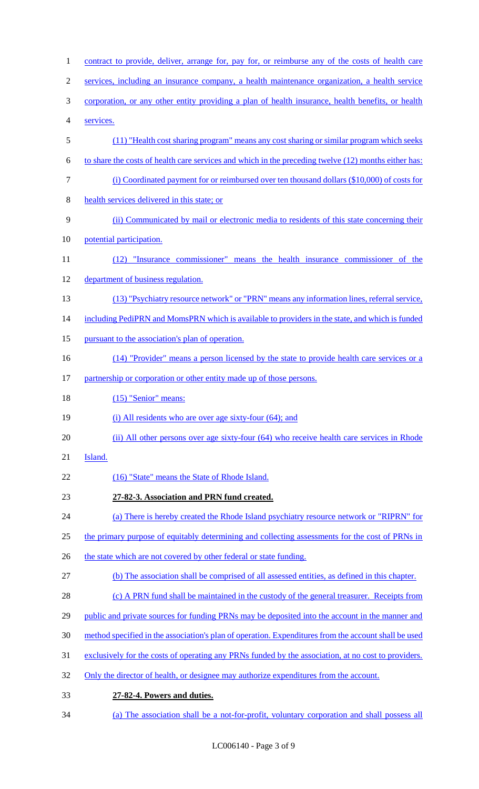1 contract to provide, deliver, arrange for, pay for, or reimburse any of the costs of health care 2 services, including an insurance company, a health maintenance organization, a health service 3 corporation, or any other entity providing a plan of health insurance, health benefits, or health 4 services. 5 (11) "Health cost sharing program" means any cost sharing or similar program which seeks 6 to share the costs of health care services and which in the preceding twelve (12) months either has: 7 (i) Coordinated payment for or reimbursed over ten thousand dollars (\$10,000) of costs for 8 health services delivered in this state; or 9 (ii) Communicated by mail or electronic media to residents of this state concerning their 10 potential participation. 11 (12) "Insurance commissioner" means the health insurance commissioner of the 12 department of business regulation. 13 (13) "Psychiatry resource network" or "PRN" means any information lines, referral service, 14 including PediPRN and MomsPRN which is available to providers in the state, and which is funded 15 pursuant to the association's plan of operation. 16 (14) "Provider" means a person licensed by the state to provide health care services or a 17 partnership or corporation or other entity made up of those persons. 18 (15) "Senior" means: 19 (i) All residents who are over age sixty-four (64); and 20 (ii) All other persons over age sixty-four (64) who receive health care services in Rhode 21 **Island**. 22 (16) "State" means the State of Rhode Island. 23 **27-82-3. Association and PRN fund created.**  24 (a) There is hereby created the Rhode Island psychiatry resource network or "RIPRN" for 25 the primary purpose of equitably determining and collecting assessments for the cost of PRNs in 26 the state which are not covered by other federal or state funding. 27 (b) The association shall be comprised of all assessed entities, as defined in this chapter. 28 (c) A PRN fund shall be maintained in the custody of the general treasurer. Receipts from 29 public and private sources for funding PRNs may be deposited into the account in the manner and 30 method specified in the association's plan of operation. Expenditures from the account shall be used 31 exclusively for the costs of operating any PRNs funded by the association, at no cost to providers. 32 Only the director of health, or designee may authorize expenditures from the account. 33 **27-82-4. Powers and duties.**  34 (a) The association shall be a not-for-profit, voluntary corporation and shall possess all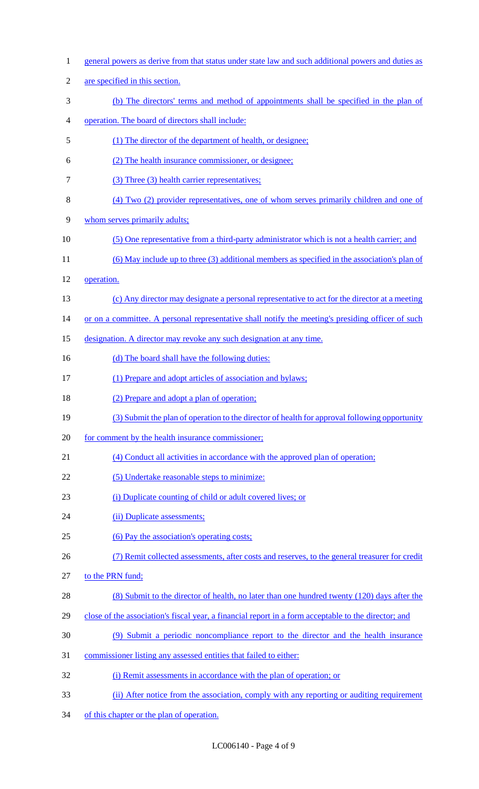| $\mathbf{1}$   | general powers as derive from that status under state law and such additional powers and duties as   |
|----------------|------------------------------------------------------------------------------------------------------|
| $\overline{2}$ | are specified in this section.                                                                       |
| 3              | (b) The directors' terms and method of appointments shall be specified in the plan of                |
| 4              | operation. The board of directors shall include:                                                     |
| 5              | (1) The director of the department of health, or designee;                                           |
| 6              | (2) The health insurance commissioner, or designee;                                                  |
| $\tau$         | (3) Three (3) health carrier representatives;                                                        |
| 8              | (4) Two (2) provider representatives, one of whom serves primarily children and one of               |
| 9              | whom serves primarily adults;                                                                        |
| 10             | (5) One representative from a third-party administrator which is not a health carrier; and           |
| 11             | (6) May include up to three (3) additional members as specified in the association's plan of         |
| 12             | operation.                                                                                           |
| 13             | (c) Any director may designate a personal representative to act for the director at a meeting        |
| 14             | or on a committee. A personal representative shall notify the meeting's presiding officer of such    |
| 15             | designation. A director may revoke any such designation at any time.                                 |
| 16             | (d) The board shall have the following duties:                                                       |
| 17             | (1) Prepare and adopt articles of association and bylaws;                                            |
| 18             | (2) Prepare and adopt a plan of operation;                                                           |
| 19             | (3) Submit the plan of operation to the director of health for approval following opportunity        |
| 20             | for comment by the health insurance commissioner;                                                    |
| 21             | (4) Conduct all activities in accordance with the approved plan of operation;                        |
| 22             | (5) Undertake reasonable steps to minimize:                                                          |
| 23             | (i) Duplicate counting of child or adult covered lives; or                                           |
| 24             | (ii) Duplicate assessments;                                                                          |
| 25             | (6) Pay the association's operating costs;                                                           |
| 26             | (7) Remit collected assessments, after costs and reserves, to the general treasurer for credit       |
| 27             | to the PRN fund;                                                                                     |
| 28             | (8) Submit to the director of health, no later than one hundred twenty (120) days after the          |
| 29             | close of the association's fiscal year, a financial report in a form acceptable to the director; and |
| 30             | (9) Submit a periodic noncompliance report to the director and the health insurance                  |
| 31             | commissioner listing any assessed entities that failed to either:                                    |
| 32             | (i) Remit assessments in accordance with the plan of operation; or                                   |
| 33             | (ii) After notice from the association, comply with any reporting or auditing requirement            |

of this chapter or the plan of operation.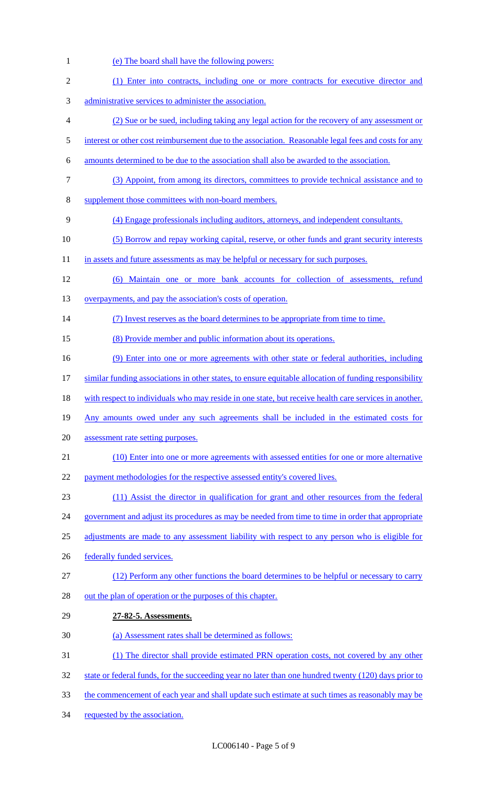(e) The board shall have the following powers: (1) Enter into contracts, including one or more contracts for executive director and administrative services to administer the association. (2) Sue or be sued, including taking any legal action for the recovery of any assessment or 5 interest or other cost reimbursement due to the association. Reasonable legal fees and costs for any amounts determined to be due to the association shall also be awarded to the association. (3) Appoint, from among its directors, committees to provide technical assistance and to supplement those committees with non-board members. (4) Engage professionals including auditors, attorneys, and independent consultants. (5) Borrow and repay working capital, reserve, or other funds and grant security interests 11 in assets and future assessments as may be helpful or necessary for such purposes. (6) Maintain one or more bank accounts for collection of assessments, refund 13 overpayments, and pay the association's costs of operation. (7) Invest reserves as the board determines to be appropriate from time to time. (8) Provide member and public information about its operations. 16 (9) Enter into one or more agreements with other state or federal authorities, including similar funding associations in other states, to ensure equitable allocation of funding responsibility 18 with respect to individuals who may reside in one state, but receive health care services in another. Any amounts owed under any such agreements shall be included in the estimated costs for assessment rate setting purposes. (10) Enter into one or more agreements with assessed entities for one or more alternative 22 payment methodologies for the respective assessed entity's covered lives. (11) Assist the director in qualification for grant and other resources from the federal 24 government and adjust its procedures as may be needed from time to time in order that appropriate 25 adjustments are made to any assessment liability with respect to any person who is eligible for 26 federally funded services. 27 (12) Perform any other functions the board determines to be helpful or necessary to carry 28 out the plan of operation or the purposes of this chapter. **27-82-5. Assessments.**  (a) Assessment rates shall be determined as follows: (1) The director shall provide estimated PRN operation costs, not covered by any other 32 state or federal funds, for the succeeding year no later than one hundred twenty (120) days prior to 33 the commencement of each year and shall update such estimate at such times as reasonably may be requested by the association.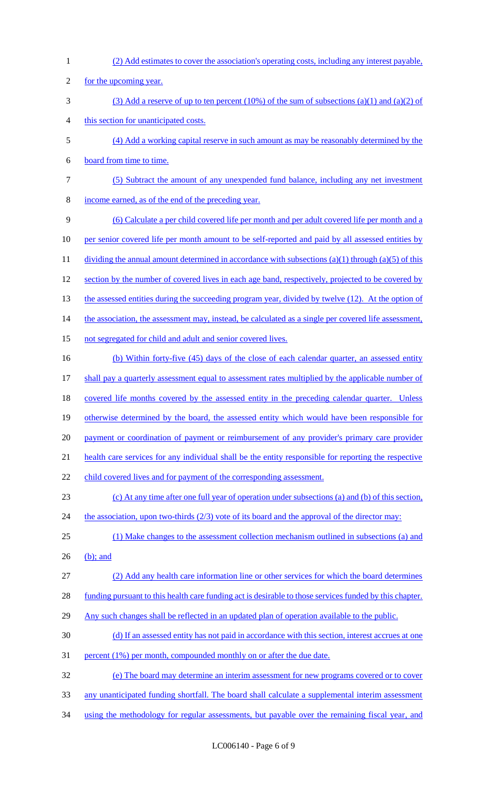(2) Add estimates to cover the association's operating costs, including any interest payable, 2 for the upcoming year. (3) Add a reserve of up to ten percent (10%) of the sum of subsections (a)(1) and (a)(2) of this section for unanticipated costs. (4) Add a working capital reserve in such amount as may be reasonably determined by the board from time to time. (5) Subtract the amount of any unexpended fund balance, including any net investment income earned, as of the end of the preceding year. (6) Calculate a per child covered life per month and per adult covered life per month and a 10 per senior covered life per month amount to be self-reported and paid by all assessed entities by 11 dividing the annual amount determined in accordance with subsections (a)(1) through (a)(5) of this 12 section by the number of covered lives in each age band, respectively, projected to be covered by 13 the assessed entities during the succeeding program year, divided by twelve (12). At the option of 14 the association, the assessment may, instead, be calculated as a single per covered life assessment, not segregated for child and adult and senior covered lives. (b) Within forty-five (45) days of the close of each calendar quarter, an assessed entity shall pay a quarterly assessment equal to assessment rates multiplied by the applicable number of 18 covered life months covered by the assessed entity in the preceding calendar quarter. Unless otherwise determined by the board, the assessed entity which would have been responsible for 20 payment or coordination of payment or reimbursement of any provider's primary care provider health care services for any individual shall be the entity responsible for reporting the respective 22 child covered lives and for payment of the corresponding assessment. (c) At any time after one full year of operation under subsections (a) and (b) of this section, 24 the association, upon two-thirds (2/3) vote of its board and the approval of the director may: (1) Make changes to the assessment collection mechanism outlined in subsections (a) and (b); and (2) Add any health care information line or other services for which the board determines funding pursuant to this health care funding act is desirable to those services funded by this chapter. 29 Any such changes shall be reflected in an updated plan of operation available to the public. (d) If an assessed entity has not paid in accordance with this section, interest accrues at one percent (1%) per month, compounded monthly on or after the due date. (e) The board may determine an interim assessment for new programs covered or to cover any unanticipated funding shortfall. The board shall calculate a supplemental interim assessment 34 using the methodology for regular assessments, but payable over the remaining fiscal year, and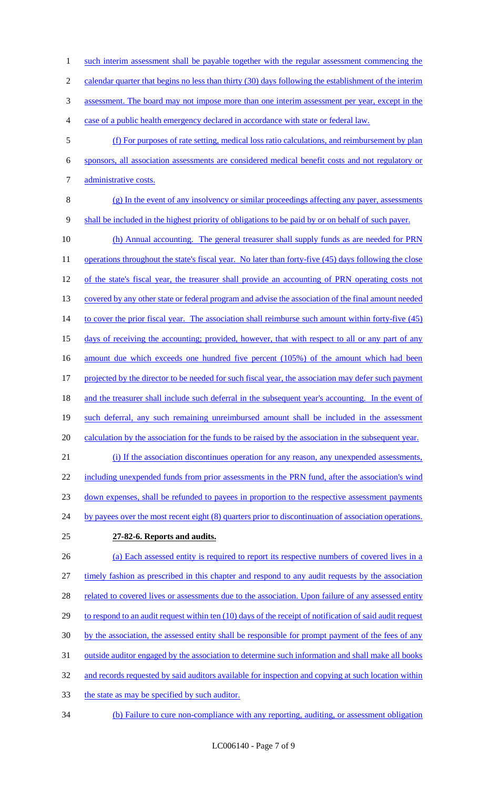1 such interim assessment shall be payable together with the regular assessment commencing the

2 calendar quarter that begins no less than thirty (30) days following the establishment of the interim

3 assessment. The board may not impose more than one interim assessment per year, except in the

- 4 case of a public health emergency declared in accordance with state or federal law.
- 5 (f) For purposes of rate setting, medical loss ratio calculations, and reimbursement by plan 6 sponsors, all association assessments are considered medical benefit costs and not regulatory or 7 administrative costs.
- 
- 8 (g) In the event of any insolvency or similar proceedings affecting any payer, assessments 9 shall be included in the highest priority of obligations to be paid by or on behalf of such payer.
- 10 (h) Annual accounting. The general treasurer shall supply funds as are needed for PRN 11 operations throughout the state's fiscal year. No later than forty-five (45) days following the close 12 of the state's fiscal year, the treasurer shall provide an accounting of PRN operating costs not 13 covered by any other state or federal program and advise the association of the final amount needed 14 to cover the prior fiscal year. The association shall reimburse such amount within forty-five (45) 15 days of receiving the accounting; provided, however, that with respect to all or any part of any 16 amount due which exceeds one hundred five percent (105%) of the amount which had been 17 projected by the director to be needed for such fiscal year, the association may defer such payment 18 and the treasurer shall include such deferral in the subsequent year's accounting. In the event of 19 such deferral, any such remaining unreimbursed amount shall be included in the assessment 20 calculation by the association for the funds to be raised by the association in the subsequent year. 21 (i) If the association discontinues operation for any reason, any unexpended assessments,

22 including unexpended funds from prior assessments in the PRN fund, after the association's wind

23 down expenses, shall be refunded to payees in proportion to the respective assessment payments

- 24 by payees over the most recent eight (8) quarters prior to discontinuation of association operations.
	-

# 25 **27-82-6. Reports and audits.**

26 (a) Each assessed entity is required to report its respective numbers of covered lives in a 27 timely fashion as prescribed in this chapter and respond to any audit requests by the association 28 related to covered lives or assessments due to the association. Upon failure of any assessed entity 29 to respond to an audit request within ten (10) days of the receipt of notification of said audit request 30 by the association, the assessed entity shall be responsible for prompt payment of the fees of any 31 outside auditor engaged by the association to determine such information and shall make all books 32 and records requested by said auditors available for inspection and copying at such location within 33 the state as may be specified by such auditor.

34 (b) Failure to cure non-compliance with any reporting, auditing, or assessment obligation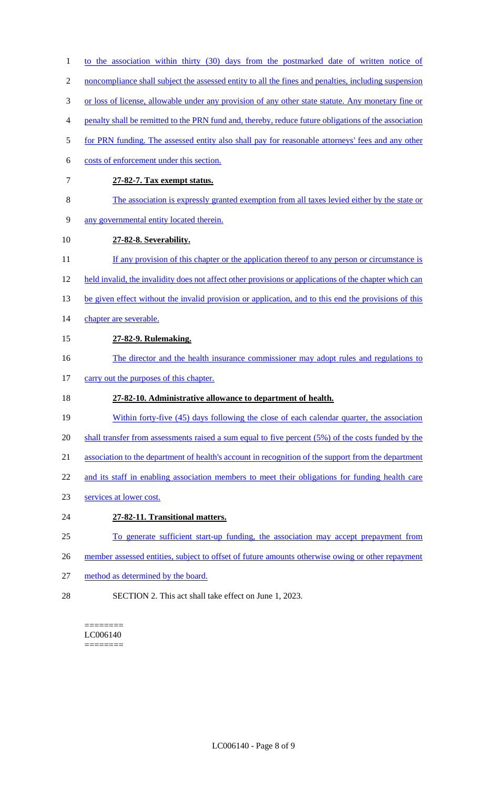- 1 to the association within thirty (30) days from the postmarked date of written notice of
- 2 noncompliance shall subject the assessed entity to all the fines and penalties, including suspension
- 3 or loss of license, allowable under any provision of any other state statute. Any monetary fine or
- 4 penalty shall be remitted to the PRN fund and, thereby, reduce future obligations of the association
- 5 for PRN funding. The assessed entity also shall pay for reasonable attorneys' fees and any other
- 6 costs of enforcement under this section.
- 7 **27-82-7. Tax exempt status.**
- 8 The association is expressly granted exemption from all taxes levied either by the state or
- 9 any governmental entity located therein.
- 10 **27-82-8. Severability.**
- 11 If any provision of this chapter or the application thereof to any person or circumstance is
- 12 held invalid, the invalidity does not affect other provisions or applications of the chapter which can
- 13 be given effect without the invalid provision or application, and to this end the provisions of this
- 14 chapter are severable.
- 15 **27-82-9. Rulemaking.**
- 16 The director and the health insurance commissioner may adopt rules and regulations to
- 17 carry out the purposes of this chapter.

# 18 **27-82-10. Administrative allowance to department of health.**

- 19 Within forty-five (45) days following the close of each calendar quarter, the association
- 20 shall transfer from assessments raised a sum equal to five percent (5%) of the costs funded by the
- 21 association to the department of health's account in recognition of the support from the department
- 22 and its staff in enabling association members to meet their obligations for funding health care
- 23 services at lower cost.
- 24 **27-82-11. Transitional matters.**
- 25 To generate sufficient start-up funding, the association may accept prepayment from
- 26 member assessed entities, subject to offset of future amounts otherwise owing or other repayment
- 27 method as determined by the board.
- 28 SECTION 2. This act shall take effect on June 1, 2023.

======== LC006140 ========